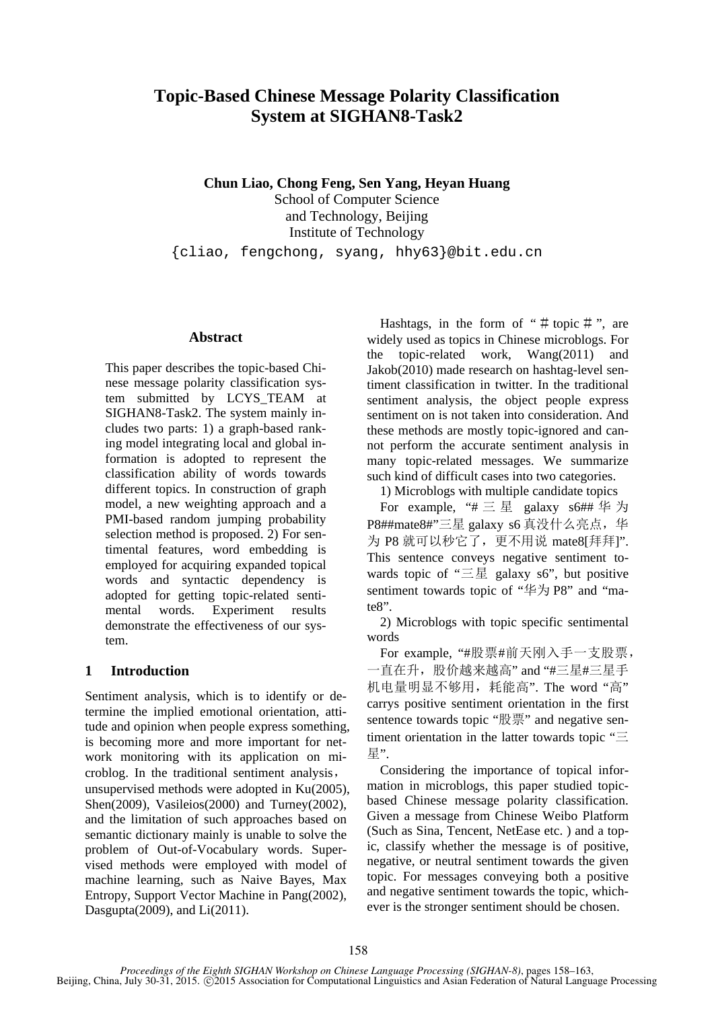# **Topic-Based Chinese Message Polarity Classification System at SIGHAN8-Task2**

**Chun Liao, Chong Feng, Sen Yang, Heyan Huang** School of Computer Science and Technology, Beijing Institute of Technology

{cliao, fengchong, syang, hhy63}@bit.edu.cn

## **Abstract**

This paper describes the topic-based Chinese message polarity classification system submitted by LCYS\_TEAM at SIGHAN8-Task2. The system mainly includes two parts: 1) a graph-based ranking model integrating local and global information is adopted to represent the classification ability of words towards different topics. In construction of graph model, a new weighting approach and a PMI-based random jumping probability selection method is proposed. 2) For sentimental features, word embedding is employed for acquiring expanded topical words and syntactic dependency is adopted for getting topic-related sentimental words. Experiment results demonstrate the effectiveness of our system.

#### **1 Introduction**

Sentiment analysis, which is to identify or determine the implied emotional orientation, attitude and opinion when people express something, is becoming more and more important for network monitoring with its application on microblog. In the traditional sentiment analysis, unsupervised methods were adopted in Ku(2005), Shen(2009), Vasileios(2000) and Turney(2002), and the limitation of such approaches based on semantic dictionary mainly is unable to solve the problem of Out-of-Vocabulary words. Supervised methods were employed with model of machine learning, such as Naive Bayes, Max Entropy, Support Vector Machine in Pang(2002), Dasgupta(2009), and Li(2011).

Hashtags, in the form of "# topic #", are widely used as topics in Chinese microblogs. For the topic-related work, Wang(2011) and Jakob(2010) made research on hashtag-level sentiment classification in twitter. In the traditional sentiment analysis, the object people express sentiment on is not taken into consideration. And these methods are mostly topic-ignored and cannot perform the accurate sentiment analysis in many topic-related messages. We summarize such kind of difficult cases into two categories.

1) Microblogs with multiple candidate topics

For example, "# 三 星 galaxy  $s$ 6## 华 为 P8##mate8#"三星 galaxy s6 真没什么亮点, 华 为 P8 就可以秒它了,更不用说 mate8[拜拜]". This sentence conveys negative sentiment towards topic of "三星 galaxy s6", but positive sentiment towards topic of "华为 P8" and "mate8".

2) Microblogs with topic specific sentimental words

For example, "#股票#前天刚入手一支股票, 一直在升,股价越来越高" and "#三星#三星手 机电量明显不够用,耗能高". The word "高" carrys positive sentiment orientation in the first sentence towards topic "股票" and negative sentiment orientation in the latter towards topic "三 星".

Considering the importance of topical information in microblogs, this paper studied topicbased Chinese message polarity classification. Given a message from Chinese Weibo Platform (Such as Sina, Tencent, NetEase etc. ) and a topic, classify whether the message is of positive, negative, or neutral sentiment towards the given topic. For messages conveying both a positive and negative sentiment towards the topic, whichever is the stronger sentiment should be chosen.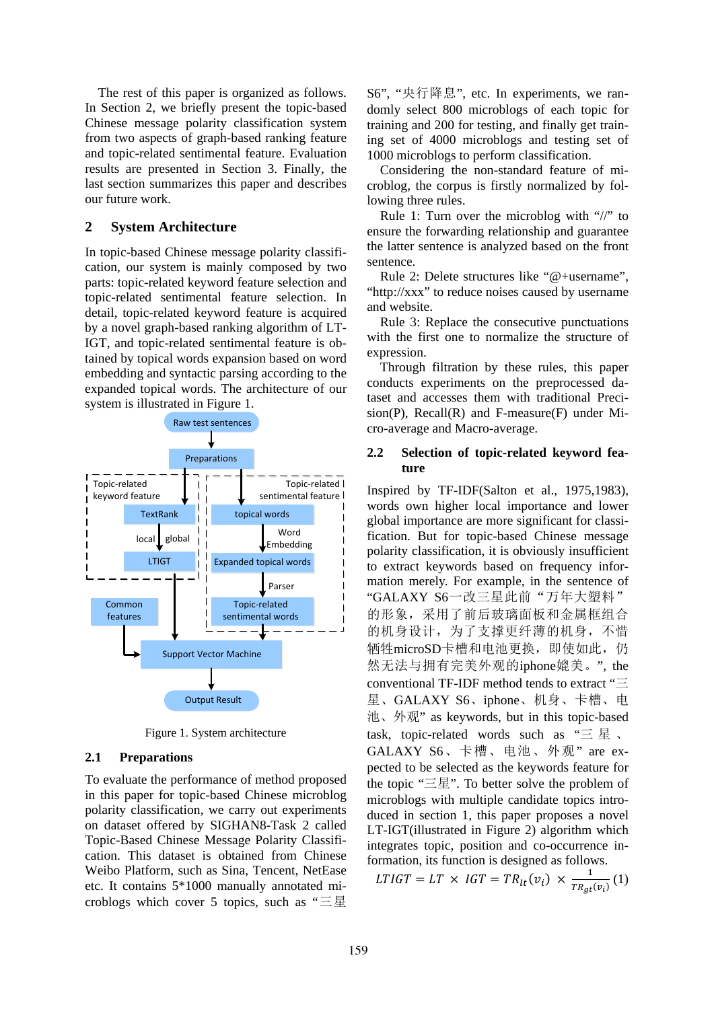The rest of this paper is organized as follows. In Section 2, we briefly present the topic-based Chinese message polarity classification system from two aspects of graph-based ranking feature and topic-related sentimental feature. Evaluation results are presented in Section 3. Finally, the last section summarizes this paper and describes our future work.

## **2 System Architecture**

In topic-based Chinese message polarity classification, our system is mainly composed by two parts: topic-related keyword feature selection and topic-related sentimental feature selection. In detail, topic-related keyword feature is acquired by a novel graph-based ranking algorithm of LT-IGT, and topic-related sentimental feature is obtained by topical words expansion based on word embedding and syntactic parsing according to the expanded topical words. The architecture of our system is illustrated in Figure 1.



Figure 1. System architecture

#### **2.1 Preparations**

To evaluate the performance of method proposed in this paper for topic-based Chinese microblog polarity classification, we carry out experiments on dataset offered by SIGHAN8-Task 2 called Topic-Based Chinese Message Polarity Classification. This dataset is obtained from Chinese Weibo Platform, such as Sina, Tencent, NetEase etc. It contains 5\*1000 manually annotated microblogs which cover 5 topics, such as "三星

S6", "央行降息", etc. In experiments, we randomly select 800 microblogs of each topic for training and 200 for testing, and finally get training set of 4000 microblogs and testing set of 1000 microblogs to perform classification.

Considering the non-standard feature of microblog, the corpus is firstly normalized by following three rules.

Rule 1: Turn over the microblog with "//" to ensure the forwarding relationship and guarantee the latter sentence is analyzed based on the front sentence.

Rule 2: Delete structures like "@+username", "http://xxx" to reduce noises caused by username and website.

Rule 3: Replace the consecutive punctuations with the first one to normalize the structure of expression.

Through filtration by these rules, this paper conducts experiments on the preprocessed dataset and accesses them with traditional Preci $sion(P)$ , Recall(R) and F-measure(F) under Micro-average and Macro-average.

## **2.2 Selection of topic-related keyword feature**

Inspired by TF-IDF(Salton et al., 1975,1983), words own higher local importance and lower global importance are more significant for classification. But for topic-based Chinese message polarity classification, it is obviously insufficient to extract keywords based on frequency information merely. For example, in the sentence of "GALAXY S6一改三星此前"万年大塑料" 的形象,采用了前后玻璃面板和金属框组合 的机身设计,为了支撑更纤薄的机身,不惜 牺牲microSD卡槽和电池更换,即使如此,仍 然无法与拥有完美外观的iphone媲美。", the conventional TF-IDF method tends to extract "三 星、GALAXY S6、iphone、机身、卡槽、电 池、外观" as keywords, but in this topic-based task, topic-related words such as "三星、 GALAXY S6、卡槽、电池、外观" are expected to be selected as the keywords feature for the topic "三星". To better solve the problem of microblogs with multiple candidate topics introduced in section 1, this paper proposes a novel LT-IGT(illustrated in Figure 2) algorithm which integrates topic, position and co-occurrence information, its function is designed as follows.

LTIGT = LT × IGT =  $TR_{lt}(v_i) \times \frac{1}{TR_{gt}(v_i)}$  (1)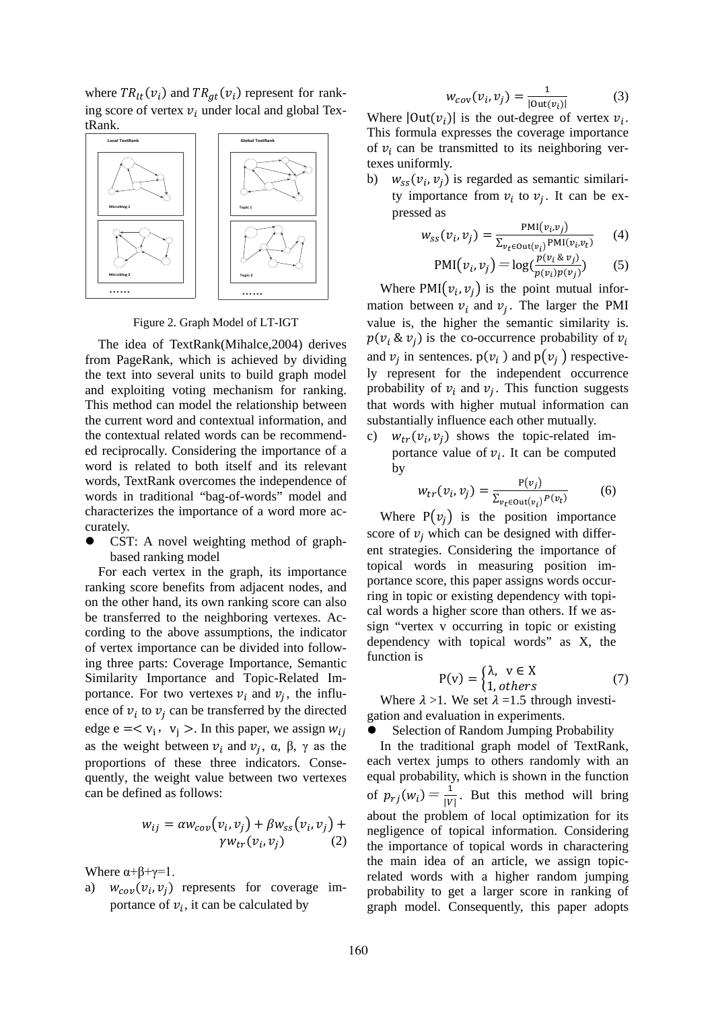where  $TR_{lt}(v_i)$  and  $TR_{gt}(v_i)$  represent for ranking score of vertex  $v_i$  under local and global TextRank.



Figure 2. Graph Model of LT-IGT

The idea of TextRank(Mihalce,2004) derives from PageRank, which is achieved by dividing the text into several units to build graph model and exploiting voting mechanism for ranking. This method can model the relationship between the current word and contextual information, and the contextual related words can be recommended reciprocally. Considering the importance of a word is related to both itself and its relevant words, TextRank overcomes the independence of words in traditional "bag-of-words" model and characterizes the importance of a word more accurately.

 CST: A novel weighting method of graphbased ranking model

For each vertex in the graph, its importance ranking score benefits from adjacent nodes, and on the other hand, its own ranking score can also be transferred to the neighboring vertexes. According to the above assumptions, the indicator of vertex importance can be divided into following three parts: Coverage Importance, Semantic Similarity Importance and Topic-Related Importance. For two vertexes  $v_i$  and  $v_j$ , the influence of  $v_i$  to  $v_j$  can be transferred by the directed edge  $e = \langle v_i, v_j \rangle$ . In this paper, we assign  $w_{ij}$ as the weight between  $v_i$  and  $v_i$ ,  $\alpha$ ,  $\beta$ ,  $\gamma$  as the proportions of these three indicators. Consequently, the weight value between two vertexes can be defined as follows:

$$
w_{ij} = \alpha w_{cov}(v_i, v_j) + \beta w_{ss}(v_i, v_j) + \gamma w_{tr}(v_i, v_j)
$$
\n<sup>(2)</sup>

Where  $\alpha+\beta+\gamma=1$ .

a)  $w_{cov}(v_i, v_i)$  represents for coverage importance of  $v_i$ , it can be calculated by

$$
W_{cov}(v_i, v_j) = \frac{1}{|\text{Out}(v_i)|} \tag{3}
$$

Where  $|\text{Out}(v_i)|$  is the out-degree of vertex  $v_i$ . This formula expresses the coverage importance of  $v_i$  can be transmitted to its neighboring vertexes uniformly.

b)  $w_{ss}(v_i, v_i)$  is regarded as semantic similarity importance from  $v_i$  to  $v_j$ . It can be expressed as

$$
w_{SS}(v_i, v_j) = \frac{\text{PMI}(v_i, v_j)}{\sum_{v_t \in \text{Out}(v_i)} \text{PMI}(v_i, v_t)} \tag{4}
$$

$$
PMI(v_i, v_j) = \log(\frac{p(v_i \& v_j)}{p(v_i)p(v_j)})
$$
 (5)

Where PMI $(v_i, v_j)$  is the point mutual information between  $v_i$  and  $v_j$ . The larger the PMI value is, the higher the semantic similarity is.  $p(v_i \& v_j)$  is the co-occurrence probability of  $v_i$ and  $v_i$  in sentences.  $p(v_i)$  and  $p(v_i)$  respectively represent for the independent occurrence probability of  $v_i$  and  $v_i$ . This function suggests that words with higher mutual information can substantially influence each other mutually.

c)  $w_{tr}(v_i, v_i)$  shows the topic-related importance value of  $v_i$ . It can be computed by

$$
w_{tr}(v_i, v_j) = \frac{P(v_j)}{\sum_{v_t \in \text{Out}(v_i)} P(v_t)}
$$
(6)

Where  $P(v_i)$  is the position importance score of  $v_i$  which can be designed with different strategies. Considering the importance of topical words in measuring position importance score, this paper assigns words occurring in topic or existing dependency with topical words a higher score than others. If we assign "vertex v occurring in topic or existing dependency with topical words" as X, the function is

$$
P(v) = \begin{cases} \lambda, & v \in X \\ 1, & others \end{cases}
$$
 (7)

Where  $\lambda > 1$ . We set  $\lambda = 1.5$  through investigation and evaluation in experiments.

Selection of Random Jumping Probability

In the traditional graph model of TextRank, each vertex jumps to others randomly with an equal probability, which is shown in the function of  $p_{rj}(w_i) = \frac{1}{|V|}$ . But this method will bring about the problem of local optimization for its negligence of topical information. Considering the importance of topical words in charactering the main idea of an article, we assign topicrelated words with a higher random jumping probability to get a larger score in ranking of graph model. Consequently, this paper adopts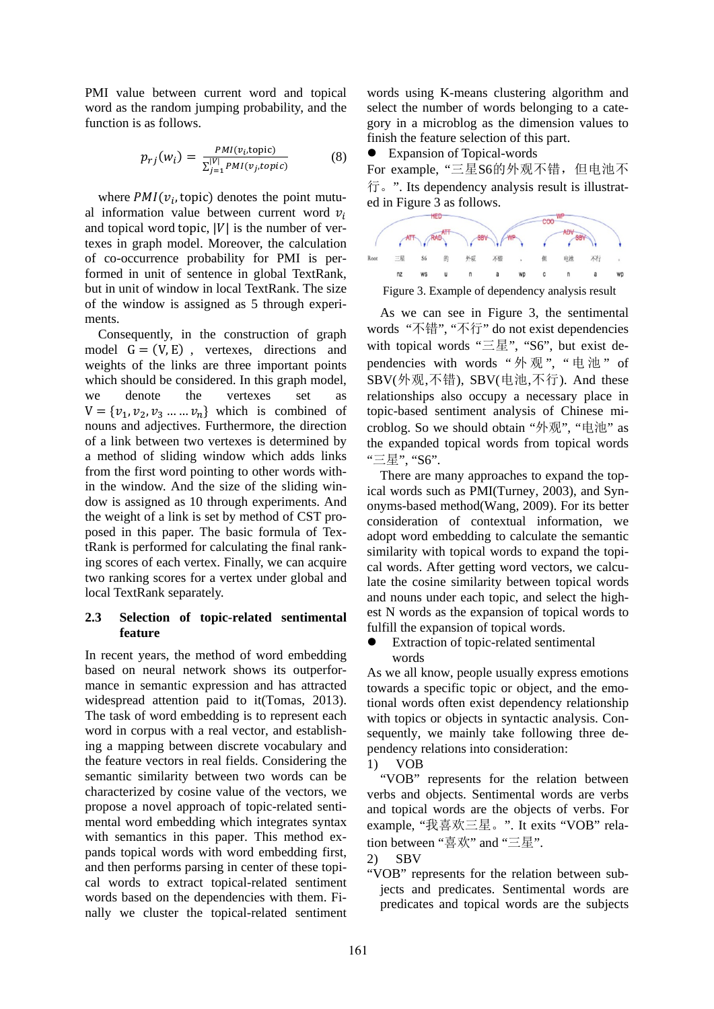PMI value between current word and topical word as the random jumping probability, and the function is as follows.

$$
p_{rj}(w_i) = \frac{PMI(v_i,\text{topic})}{\sum_{j=1}^{|V|}PMI(v_j,\text{topic})}
$$
(8)

where  $PMI(v_i, \text{topic})$  denotes the point mutual information value between current word  $v_i$ and topical word topic,  $|V|$  is the number of vertexes in graph model. Moreover, the calculation of co-occurrence probability for PMI is performed in unit of sentence in global TextRank, but in unit of window in local TextRank. The size of the window is assigned as 5 through experiments.

Consequently, in the construction of graph model  $G = (V, E)$ , vertexes, directions and weights of the links are three important points which should be considered. In this graph model, we denote the vertexes set as  $V = \{v_1, v_2, v_3, \dots, v_n\}$  which is combined of nouns and adjectives. Furthermore, the direction of a link between two vertexes is determined by a method of sliding window which adds links from the first word pointing to other words within the window. And the size of the sliding window is assigned as 10 through experiments. And the weight of a link is set by method of CST proposed in this paper. The basic formula of TextRank is performed for calculating the final ranking scores of each vertex. Finally, we can acquire two ranking scores for a vertex under global and local TextRank separately.

## **2.3 Selection of topic-related sentimental feature**

In recent years, the method of word embedding based on neural network shows its outperformance in semantic expression and has attracted widespread attention paid to it(Tomas, 2013). The task of word embedding is to represent each word in corpus with a real vector, and establishing a mapping between discrete vocabulary and the feature vectors in real fields. Considering the semantic similarity between two words can be characterized by cosine value of the vectors, we propose a novel approach of topic-related sentimental word embedding which integrates syntax with semantics in this paper. This method expands topical words with word embedding first, and then performs parsing in center of these topical words to extract topical-related sentiment words based on the dependencies with them. Finally we cluster the topical-related sentiment words using K-means clustering algorithm and select the number of words belonging to a category in a microblog as the dimension values to finish the feature selection of this part.

Expansion of Topical-words

For example, "三星S6的外观不错,但电池不 行。". Its dependency analysis result is illustrated in Figure 3 as follows.



As we can see in Figure 3, the sentimental

words "不错", "不行" do not exist dependencies with topical words "三星", "S6", but exist dependencies with words "外观", "电池" of SBV(外观,不错), SBV(电池,不行). And these relationships also occupy a necessary place in topic-based sentiment analysis of Chinese microblog. So we should obtain "外观", "电池" as the expanded topical words from topical words "三星", "S6".

There are many approaches to expand the topical words such as PMI(Turney, 2003), and Synonyms-based method(Wang, 2009). For its better consideration of contextual information, we adopt word embedding to calculate the semantic similarity with topical words to expand the topical words. After getting word vectors, we calculate the cosine similarity between topical words and nouns under each topic, and select the highest N words as the expansion of topical words to fulfill the expansion of topical words.

 Extraction of topic-related sentimental words

As we all know, people usually express emotions towards a specific topic or object, and the emotional words often exist dependency relationship with topics or objects in syntactic analysis. Consequently, we mainly take following three dependency relations into consideration:

1) VOB

"VOB" represents for the relation between verbs and objects. Sentimental words are verbs and topical words are the objects of verbs. For example, "我喜欢三星。". It exits "VOB" relation between "喜欢" and "三星".

2) SBV

"VOB" represents for the relation between subjects and predicates. Sentimental words are predicates and topical words are the subjects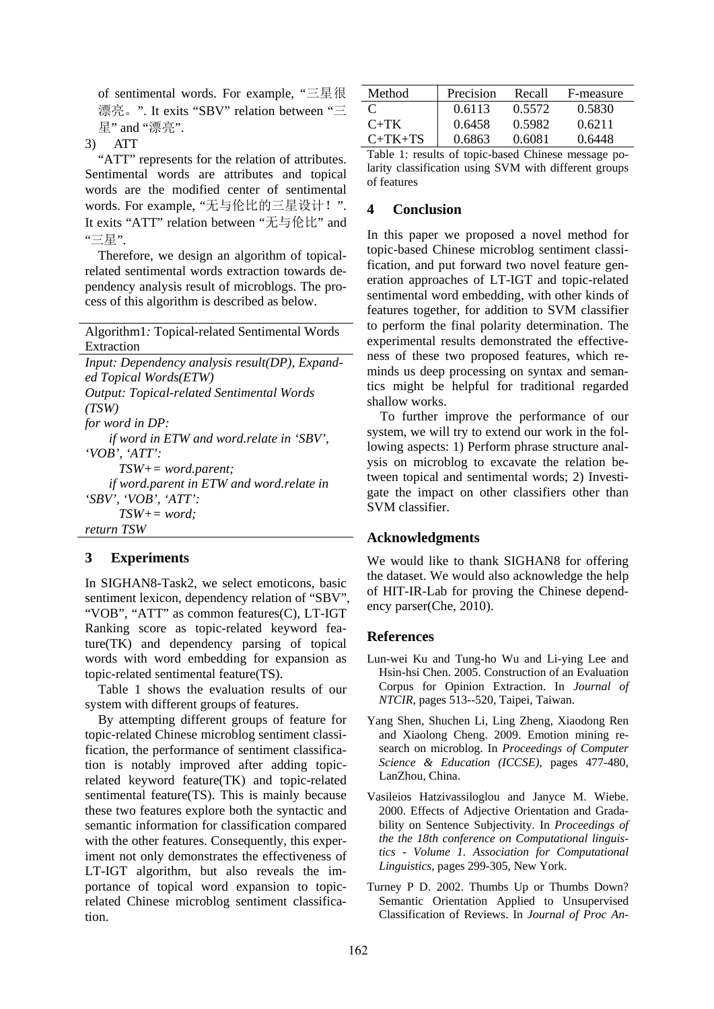of sentimental words. For example, "三星很 漂亮。". It exits "SBV" relation between "三 星" and "漂亮".

3) ATT

"ATT" represents for the relation of attributes. Sentimental words are attributes and topical words are the modified center of sentimental words. For example, "无与伦比的三星设计!". It exits "ATT" relation between "无与伦比" and "三星".

Therefore, we design an algorithm of topicalrelated sentimental words extraction towards dependency analysis result of microblogs. The process of this algorithm is described as below.

|            |  | Algorithm1: Topical-related Sentimental Words                            |  |
|------------|--|--------------------------------------------------------------------------|--|
| Extraction |  |                                                                          |  |
|            |  | $\mathbf{I}$ , $\mathbf{I}$ , $\mathbf{I}$ , $\mathbf{I}$ , $\mathbf{I}$ |  |

| Input: Dependency analysis result(DP), Expand-   |
|--------------------------------------------------|
| ed Topical Words(ETW)                            |
| <b>Output: Topical-related Sentimental Words</b> |
| (TSW)                                            |
| for word in DP:                                  |
| if word in ETW and word relate in 'SBV',         |
| $'VOB'$ , 'ATT':                                 |
| $TSW+=word.parent;$                              |
| if word.parent in ETW and word.relate in         |
| $SBV$ , $VOB$ , $ATT$ .                          |
| $TSW+=word;$                                     |
| return TSW                                       |
|                                                  |

# **3 Experiments**

In SIGHAN8-Task2, we select emoticons, basic sentiment lexicon, dependency relation of "SBV", "VOB", "ATT" as common features(C), LT-IGT Ranking score as topic-related keyword feature(TK) and dependency parsing of topical words with word embedding for expansion as topic-related sentimental feature(TS).

Table 1 shows the evaluation results of our system with different groups of features.

By attempting different groups of feature for topic-related Chinese microblog sentiment classification, the performance of sentiment classification is notably improved after adding topicrelated keyword feature(TK) and topic-related sentimental feature(TS). This is mainly because these two features explore both the syntactic and semantic information for classification compared with the other features. Consequently, this experiment not only demonstrates the effectiveness of LT-IGT algorithm, but also reveals the importance of topical word expansion to topicrelated Chinese microblog sentiment classification.

| Method    | Precision | Recall | F-measure |
|-----------|-----------|--------|-----------|
| $\Gamma$  | 0.6113    | 0.5572 | 0.5830    |
| $C+TK$    | 0.6458    | 0.5982 | 0.6211    |
| $C+TK+TS$ | 0.6863    | 0.6081 | 0.6448    |
|           |           |        |           |

Table 1: results of topic-based Chinese message polarity classification using SVM with different groups of features

# **4 Conclusion**

In this paper we proposed a novel method for topic-based Chinese microblog sentiment classification, and put forward two novel feature generation approaches of LT-IGT and topic-related sentimental word embedding, with other kinds of features together, for addition to SVM classifier to perform the final polarity determination. The experimental results demonstrated the effectiveness of these two proposed features, which reminds us deep processing on syntax and semantics might be helpful for traditional regarded shallow works.

To further improve the performance of our system, we will try to extend our work in the following aspects: 1) Perform phrase structure analysis on microblog to excavate the relation between topical and sentimental words; 2) Investigate the impact on other classifiers other than SVM classifier.

#### **Acknowledgments**

We would like to thank SIGHAN8 for offering the dataset. We would also acknowledge the help of HIT-IR-Lab for proving the Chinese dependency parser(Che, 2010).

#### **References**

- Lun-wei Ku and Tung-ho Wu and Li-ying Lee and Hsin-hsi Chen. 2005. Construction of an Evaluation Corpus for Opinion Extraction. In *Journal of NTCIR*, pages 513--520, Taipei, Taiwan.
- Yang Shen, Shuchen Li, Ling Zheng, Xiaodong Ren and Xiaolong Cheng. 2009. Emotion mining research on microblog. In *Proceedings of Computer Science & Education (ICCSE)*, pages 477-480, LanZhou, China.
- Vasileios Hatzivassiloglou and Janyce M. Wiebe. 2000. Effects of Adjective Orientation and Gradability on Sentence Subjectivity. In *Proceedings of the the 18th conference on Computational linguistics - Volume 1. Association for Computational Linguistics*, pages 299-305, New York.
- Turney P D. 2002. Thumbs Up or Thumbs Down? Semantic Orientation Applied to Unsupervised Classification of Reviews. In *Journal of Proc An-*